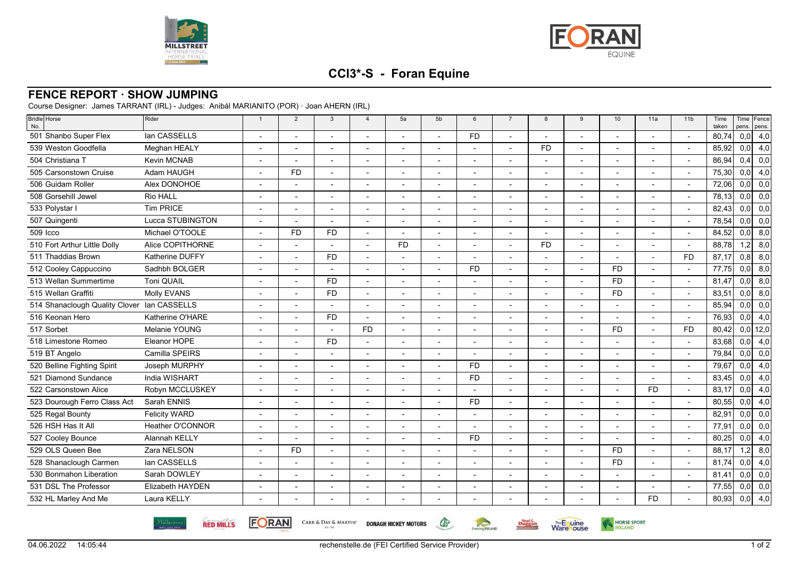



HORSE SPORT

**Warehouse** 

**Duggan** 

## **CCI3\*-S - Foran Equine**

## **FENCE REPORT · SHOW JUMPING**

Course Designer: James TARRANT (IRL) - Judges: Anibál MARIANITO (POR) · Joan AHERN (IRL)

| Bridle Horse<br>No.                         | Rider                   | $\overline{1}$           | $\overline{2}$ | $\overline{3}$           | $\overline{4}$           | 5a                       | 5b             | 6              | $\overline{7}$ | 8                        | 9                        | 10                       | 11a                      | 11 <sub>b</sub>          | Time<br>taken | pens. | Time Fence<br>pens. |
|---------------------------------------------|-------------------------|--------------------------|----------------|--------------------------|--------------------------|--------------------------|----------------|----------------|----------------|--------------------------|--------------------------|--------------------------|--------------------------|--------------------------|---------------|-------|---------------------|
| 501 Shanbo Super Flex                       | lan CASSELLS            |                          |                |                          |                          |                          |                | <b>FD</b>      |                |                          |                          |                          |                          |                          | 80.74         | 0,0   | 4,0                 |
| 539 Weston Goodfella                        | Meghan HEALY            | $\overline{\phantom{a}}$ |                | $\overline{\phantom{a}}$ | $\overline{\phantom{a}}$ | $\blacksquare$           |                |                | $\overline{a}$ | <b>FD</b>                |                          | $\blacksquare$           | $\blacksquare$           |                          | 85,92         | 0,0   | 4,0                 |
| 504 Christiana T                            | Kevin MCNAB             | $\overline{\phantom{0}}$ |                |                          | $\overline{\phantom{0}}$ | $\overline{a}$           |                |                |                | $\overline{a}$           |                          |                          | $\overline{\phantom{a}}$ |                          | 86,94         | 0,4   | 0,0                 |
| 505 Carsonstown Cruise                      | Adam HAUGH              |                          | <b>FD</b>      |                          |                          |                          |                |                |                |                          |                          |                          |                          |                          | 75,30         | 0,0   | 4,0                 |
| 506 Guidam Roller                           | Alex DONOHOE            |                          |                | $\blacksquare$           |                          | $\overline{a}$           |                |                |                | $\overline{\phantom{a}}$ |                          |                          |                          |                          | 72,06         | 0,0   | 0,0                 |
| 508 Gorsehill Jewel                         | Rio HALL                |                          |                |                          |                          |                          |                |                |                |                          |                          |                          |                          |                          | 78,13         | 0,0   | 0,0                 |
| 533 Polystar I                              | <b>Tim PRICE</b>        |                          |                | $\overline{a}$           |                          |                          |                |                |                | $\overline{\phantom{a}}$ |                          |                          |                          |                          | 82,43         | 0,0   | 0,0                 |
| 507 Quingenti                               | Lucca STUBINGTON        |                          |                |                          |                          |                          |                |                |                |                          |                          |                          |                          |                          | 78,54         | 0,0   | 0,0                 |
| 509 Icco                                    | Michael O'TOOLE         |                          | <b>FD</b>      | <b>FD</b>                |                          |                          |                |                |                |                          |                          |                          |                          |                          | 84,52         | 0,0   | 8,0                 |
| 510 Fort Arthur Little Dolly                | Alice COPITHORNE        |                          |                |                          | $\overline{\phantom{a}}$ | <b>FD</b>                |                |                | $\blacksquare$ | <b>FD</b>                | $\overline{\phantom{a}}$ | $\overline{a}$           |                          | $\overline{\phantom{a}}$ | 88,78         | 1,2   | 8,0                 |
| 511 Thaddias Brown                          | Katherine DUFFY         |                          |                | <b>FD</b>                |                          |                          |                |                |                |                          |                          |                          |                          | <b>FD</b>                | 87,17         | 0,8   | 8,0                 |
| 512 Cooley Cappuccino                       | Sadhbh BOLGER           |                          |                |                          |                          |                          |                | <b>FD</b>      |                |                          |                          | <b>FD</b>                |                          |                          | 77.75         | 0,0   | 8,0                 |
| 513 Wellan Summertime                       | <b>Toni QUAIL</b>       |                          |                | <b>FD</b>                | $\overline{\phantom{a}}$ |                          |                |                |                | $\overline{\phantom{a}}$ |                          | <b>FD</b>                | $\blacksquare$           |                          | 81,47         | 0,0   | 8,0                 |
| 515 Wellan Graffiti                         | Molly EVANS             |                          |                | <b>FD</b>                |                          |                          |                |                |                |                          |                          | <b>FD</b>                |                          |                          | 83,51         | 0,0   | 8,0                 |
| 514 Shanaclough Quality Clover Ian CASSELLS |                         |                          |                |                          | $\overline{\phantom{a}}$ | $\overline{\phantom{a}}$ |                |                |                | $\overline{\phantom{a}}$ |                          | $\overline{\phantom{a}}$ |                          |                          | 85,94         | 0,0   | 0,0                 |
| 516 Keonan Hero                             | Katherine O'HARE        | $\blacksquare$           |                | <b>FD</b>                | $\overline{\phantom{a}}$ | $\overline{\phantom{a}}$ | $\overline{a}$ |                |                | $\blacksquare$           | $\overline{\phantom{a}}$ |                          | $\overline{\phantom{a}}$ |                          | 76,93         | 0,0   | 4,0                 |
| 517 Sorbet                                  | Melanie YOUNG           |                          |                |                          | <b>FD</b>                |                          |                |                |                |                          |                          | <b>FD</b>                |                          | <b>FD</b>                | 80,42         |       | $0,0$ 12,0          |
| 518 Limestone Romeo                         | Eleanor HOPE            |                          |                | <b>FD</b>                | $\overline{\phantom{a}}$ | $\blacksquare$           |                |                |                | $\blacksquare$           |                          |                          |                          |                          | 83,68         | 0,0   | 4,0                 |
| 519 BT Angelo                               | Camilla SPEIRS          |                          |                |                          |                          |                          |                |                |                |                          |                          |                          |                          |                          | 79,84         | 0,0   | 0,0                 |
| 520 Belline Fighting Spirit                 | Joseph MURPHY           |                          |                | ÷.                       |                          |                          |                | <b>FD</b>      |                | $\overline{\phantom{a}}$ |                          |                          |                          |                          | 79,67         | 0,0   | 4,0                 |
| 521 Diamond Sundance                        | India WISHART           |                          |                |                          |                          |                          |                | <b>FD</b>      |                |                          |                          |                          |                          |                          | 83,45         | 0,0   | 4,0                 |
| 522 Carsonstown Alice                       | Robyn MCCLUSKEY         |                          |                |                          |                          |                          |                |                |                |                          |                          |                          | <b>FD</b>                |                          | 83,17         | 0,0   | 4,0                 |
| 523 Dourough Ferro Class Act                | Sarah ENNIS             | $\blacksquare$           |                | $\overline{a}$           | $\overline{\phantom{a}}$ | $\overline{a}$           |                | F <sub>D</sub> | $\blacksquare$ | $\blacksquare$           |                          |                          |                          |                          | 80,55         | 0,0   | 4,0                 |
| 525 Regal Bounty                            | <b>Felicity WARD</b>    |                          |                |                          |                          |                          |                |                |                |                          |                          |                          |                          |                          | 82,91         | 0,0   | 0,0                 |
| 526 HSH Has It All                          | Heather O'CONNOR        |                          |                |                          |                          |                          |                |                |                |                          |                          |                          |                          |                          | 77,91         | 0,0   | 0,0                 |
| 527 Cooley Bounce                           | <b>Alannah KELLY</b>    |                          |                | $\blacksquare$           | $\overline{\phantom{a}}$ | $\overline{\phantom{a}}$ |                | <b>FD</b>      | $\blacksquare$ | $\blacksquare$           |                          |                          | $\blacksquare$           |                          | 80,25         | 0,0   | 4,0                 |
| 529 OLS Queen Bee                           | Zara NELSON             |                          | <b>FD</b>      |                          |                          |                          |                |                |                |                          |                          | <b>FD</b>                |                          |                          | 88,17         | 1,2   | 8,0                 |
| 528 Shanaclough Carmen                      | lan CASSELLS            |                          |                |                          |                          | $\overline{a}$           |                |                |                |                          |                          | <b>FD</b>                |                          |                          | 81,74         | 0,0   | 4,0                 |
| 530 Bonmahon Liberation                     | Sarah DOWLEY            | $\overline{\phantom{a}}$ |                |                          | $\overline{\phantom{a}}$ | $\blacksquare$           |                |                |                | $\overline{\phantom{a}}$ |                          | $\overline{\phantom{a}}$ | $\overline{\phantom{a}}$ |                          | 81,41         | 0,0   | 0,0                 |
| 531 DSL The Professor                       | <b>Elizabeth HAYDEN</b> |                          |                |                          |                          |                          |                |                |                |                          |                          |                          |                          |                          | 77,55         | 0,0   | 0,0                 |
| 532 HL Marley And Me                        | Laura KELLY             |                          |                |                          |                          |                          |                |                |                |                          |                          |                          | <b>FD</b>                |                          | 80,93         | 0,0   | 4,0                 |
|                                             |                         |                          |                |                          |                          |                          |                |                |                |                          |                          |                          |                          |                          |               |       |                     |

**RED MILLS** 

**FORAN** 

CARR & DAY & MARTIN' DONAGH HICKEY MOTORS



 $\mathbb{G}$ 

Eventing **RELAND**